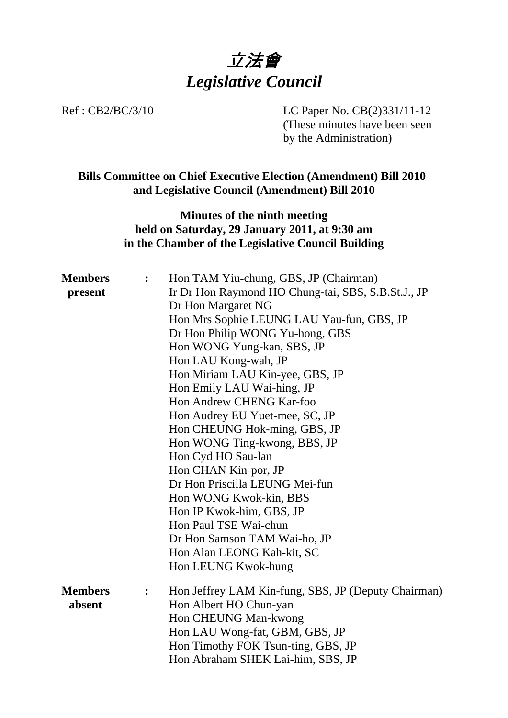

Ref : CB2/BC/3/10 LC Paper No. CB(2)331/11-12 (These minutes have been seen by the Administration)

# **Bills Committee on Chief Executive Election (Amendment) Bill 2010 and Legislative Council (Amendment) Bill 2010**

## **Minutes of the ninth meeting held on Saturday, 29 January 2011, at 9:30 am in the Chamber of the Legislative Council Building**

| <b>Members</b> | : $\ddot{\phantom{0}}$ | Hon TAM Yiu-chung, GBS, JP (Chairman)               |
|----------------|------------------------|-----------------------------------------------------|
| present        |                        | Ir Dr Hon Raymond HO Chung-tai, SBS, S.B.St.J., JP  |
|                |                        | Dr Hon Margaret NG                                  |
|                |                        | Hon Mrs Sophie LEUNG LAU Yau-fun, GBS, JP           |
|                |                        | Dr Hon Philip WONG Yu-hong, GBS                     |
|                |                        | Hon WONG Yung-kan, SBS, JP                          |
|                |                        | Hon LAU Kong-wah, JP                                |
|                |                        | Hon Miriam LAU Kin-yee, GBS, JP                     |
|                |                        | Hon Emily LAU Wai-hing, JP                          |
|                |                        | Hon Andrew CHENG Kar-foo                            |
|                |                        | Hon Audrey EU Yuet-mee, SC, JP                      |
|                |                        | Hon CHEUNG Hok-ming, GBS, JP                        |
|                |                        | Hon WONG Ting-kwong, BBS, JP                        |
|                |                        | Hon Cyd HO Sau-lan                                  |
|                |                        | Hon CHAN Kin-por, JP                                |
|                |                        | Dr Hon Priscilla LEUNG Mei-fun                      |
|                |                        | Hon WONG Kwok-kin, BBS                              |
|                |                        | Hon IP Kwok-him, GBS, JP                            |
|                |                        | Hon Paul TSE Wai-chun                               |
|                |                        | Dr Hon Samson TAM Wai-ho, JP                        |
|                |                        | Hon Alan LEONG Kah-kit, SC                          |
|                |                        | Hon LEUNG Kwok-hung                                 |
| <b>Members</b> | $\ddot{\bullet}$       | Hon Jeffrey LAM Kin-fung, SBS, JP (Deputy Chairman) |
| absent         |                        | Hon Albert HO Chun-yan                              |
|                |                        | Hon CHEUNG Man-kwong                                |
|                |                        | Hon LAU Wong-fat, GBM, GBS, JP                      |
|                |                        | Hon Timothy FOK Tsun-ting, GBS, JP                  |
|                |                        | Hon Abraham SHEK Lai-him, SBS, JP                   |
|                |                        |                                                     |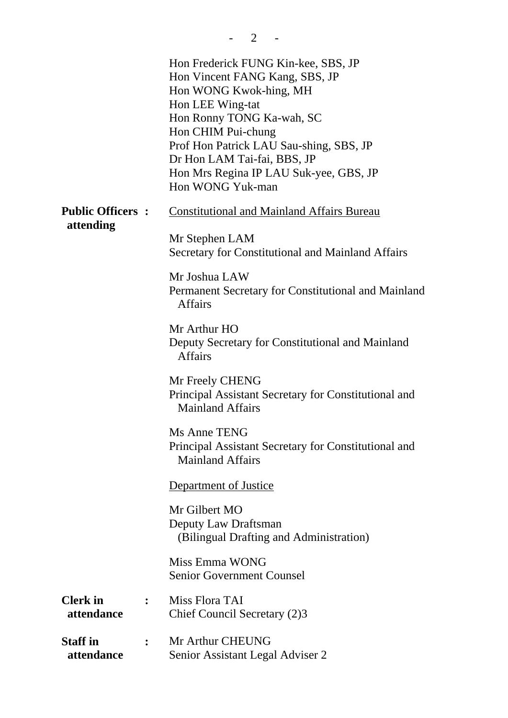|                                                 | Hon Frederick FUNG Kin-kee, SBS, JP<br>Hon Vincent FANG Kang, SBS, JP<br>Hon WONG Kwok-hing, MH<br>Hon LEE Wing-tat<br>Hon Ronny TONG Ka-wah, SC<br>Hon CHIM Pui-chung<br>Prof Hon Patrick LAU Sau-shing, SBS, JP<br>Dr Hon LAM Tai-fai, BBS, JP<br>Hon Mrs Regina IP LAU Suk-yee, GBS, JP<br>Hon WONG Yuk-man |
|-------------------------------------------------|----------------------------------------------------------------------------------------------------------------------------------------------------------------------------------------------------------------------------------------------------------------------------------------------------------------|
| <b>Public Officers:</b>                         | <b>Constitutional and Mainland Affairs Bureau</b>                                                                                                                                                                                                                                                              |
| attending                                       | Mr Stephen LAM<br>Secretary for Constitutional and Mainland Affairs                                                                                                                                                                                                                                            |
|                                                 | Mr Joshua LAW<br>Permanent Secretary for Constitutional and Mainland<br><b>Affairs</b>                                                                                                                                                                                                                         |
|                                                 | Mr Arthur HO<br>Deputy Secretary for Constitutional and Mainland<br><b>Affairs</b>                                                                                                                                                                                                                             |
|                                                 | Mr Freely CHENG<br>Principal Assistant Secretary for Constitutional and<br><b>Mainland Affairs</b>                                                                                                                                                                                                             |
|                                                 | Ms Anne TENG<br>Principal Assistant Secretary for Constitutional and<br><b>Mainland Affairs</b>                                                                                                                                                                                                                |
|                                                 | Department of Justice                                                                                                                                                                                                                                                                                          |
|                                                 | Mr Gilbert MO<br>Deputy Law Draftsman<br>(Bilingual Drafting and Administration)                                                                                                                                                                                                                               |
|                                                 | Miss Emma WONG<br><b>Senior Government Counsel</b>                                                                                                                                                                                                                                                             |
| <b>Clerk</b> in<br>attendance                   | Miss Flora TAI<br>Chief Council Secretary (2)3                                                                                                                                                                                                                                                                 |
| <b>Staff</b> in<br>$\ddot{\cdot}$<br>attendance | Mr Arthur CHEUNG<br>Senior Assistant Legal Adviser 2                                                                                                                                                                                                                                                           |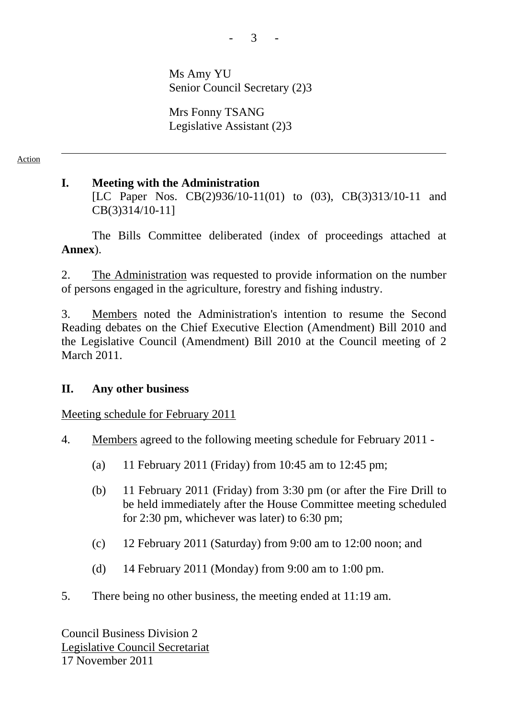Ms Amy YU Senior Council Secretary (2)3

Mrs Fonny TSANG Legislative Assistant (2)3

Action

## **I. Meeting with the Administration**

[LC Paper Nos. CB(2)936/10-11(01) to (03), CB(3)313/10-11 and CB(3)314/10-11]

The Bills Committee deliberated (index of proceedings attached at **Annex**).

2. The Administration was requested to provide information on the number of persons engaged in the agriculture, forestry and fishing industry.

3. Members noted the Administration's intention to resume the Second Reading debates on the Chief Executive Election (Amendment) Bill 2010 and the Legislative Council (Amendment) Bill 2010 at the Council meeting of 2 March 2011.

### **II. Any other business**

Meeting schedule for February 2011

- 4. Members agreed to the following meeting schedule for February 2011
	- (a) 11 February 2011 (Friday) from 10:45 am to 12:45 pm;
	- (b) 11 February 2011 (Friday) from 3:30 pm (or after the Fire Drill to be held immediately after the House Committee meeting scheduled for 2:30 pm, whichever was later) to 6:30 pm;
	- (c) 12 February 2011 (Saturday) from 9:00 am to 12:00 noon; and
	- (d) 14 February 2011 (Monday) from 9:00 am to 1:00 pm.
- 5. There being no other business, the meeting ended at 11:19 am.

Council Business Division 2 Legislative Council Secretariat 17 November 2011

 $3 - 1$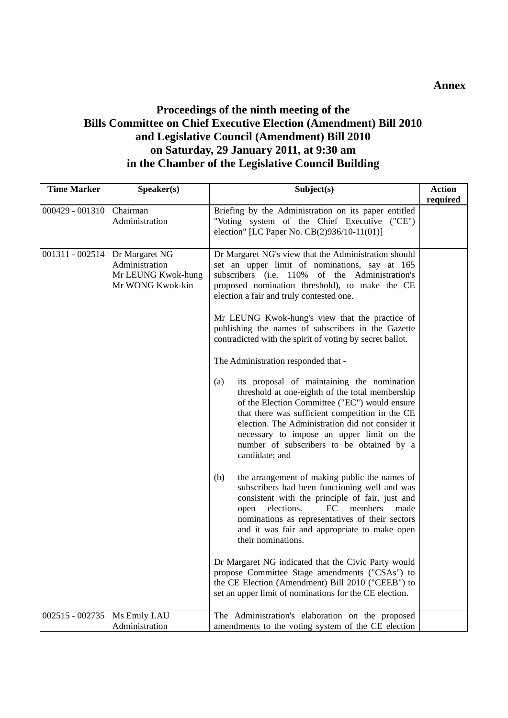## **Proceedings of the ninth meeting of the Bills Committee on Chief Executive Election (Amendment) Bill 2010 and Legislative Council (Amendment) Bill 2010 on Saturday, 29 January 2011, at 9:30 am in the Chamber of the Legislative Council Building**

| <b>Time Marker</b> | Speaker(s)                                                                 | Subject(s)                                                                                                                                                                                                                                                                                                                                                                                                                                                                                                                                                                                                                                                                                                                                                                                                                                   | <b>Action</b> |
|--------------------|----------------------------------------------------------------------------|----------------------------------------------------------------------------------------------------------------------------------------------------------------------------------------------------------------------------------------------------------------------------------------------------------------------------------------------------------------------------------------------------------------------------------------------------------------------------------------------------------------------------------------------------------------------------------------------------------------------------------------------------------------------------------------------------------------------------------------------------------------------------------------------------------------------------------------------|---------------|
| $000429 - 001310$  | Chairman<br>Administration                                                 | Briefing by the Administration on its paper entitled<br>"Voting system of the Chief Executive ("CE")<br>election" [LC Paper No. CB(2)936/10-11(01)]                                                                                                                                                                                                                                                                                                                                                                                                                                                                                                                                                                                                                                                                                          | required      |
| 001311 - 002514    | Dr Margaret NG<br>Administration<br>Mr LEUNG Kwok-hung<br>Mr WONG Kwok-kin | Dr Margaret NG's view that the Administration should<br>set an upper limit of nominations, say at 165<br>subscribers (i.e. 110% of the Administration's<br>proposed nomination threshold), to make the CE<br>election a fair and truly contested one.<br>Mr LEUNG Kwok-hung's view that the practice of<br>publishing the names of subscribers in the Gazette<br>contradicted with the spirit of voting by secret ballot.<br>The Administration responded that -<br>its proposal of maintaining the nomination<br>(a)<br>threshold at one-eighth of the total membership<br>of the Election Committee ("EC") would ensure<br>that there was sufficient competition in the CE<br>election. The Administration did not consider it<br>necessary to impose an upper limit on the<br>number of subscribers to be obtained by a<br>candidate; and |               |
|                    |                                                                            | the arrangement of making public the names of<br>(b)<br>subscribers had been functioning well and was<br>consistent with the principle of fair, just and<br>EC<br>elections.<br>members<br>open<br>made<br>nominations as representatives of their sectors<br>and it was fair and appropriate to make open<br>their nominations.<br>Dr Margaret NG indicated that the Civic Party would<br>propose Committee Stage amendments ("CSAs") to<br>the CE Election (Amendment) Bill 2010 ("CEEB") to<br>set an upper limit of nominations for the CE election.                                                                                                                                                                                                                                                                                     |               |
| 002515 - 002735    | Ms Emily LAU<br>Administration                                             | The Administration's elaboration on the proposed<br>amendments to the voting system of the CE election                                                                                                                                                                                                                                                                                                                                                                                                                                                                                                                                                                                                                                                                                                                                       |               |

#### **Annex**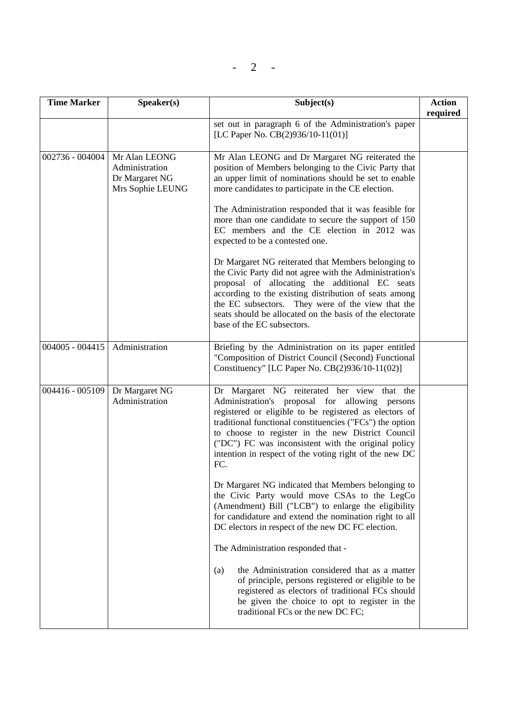| <b>Time Marker</b> | Speaker(s)                                                            | Subject(s)                                                                                                                                                                                                                                                                                                                                                                                                                                                                                                                                                                                                                                                                                                                                                                                            | <b>Action</b><br>required |
|--------------------|-----------------------------------------------------------------------|-------------------------------------------------------------------------------------------------------------------------------------------------------------------------------------------------------------------------------------------------------------------------------------------------------------------------------------------------------------------------------------------------------------------------------------------------------------------------------------------------------------------------------------------------------------------------------------------------------------------------------------------------------------------------------------------------------------------------------------------------------------------------------------------------------|---------------------------|
|                    |                                                                       | set out in paragraph 6 of the Administration's paper<br>[LC Paper No. CB(2)936/10-11(01)]                                                                                                                                                                                                                                                                                                                                                                                                                                                                                                                                                                                                                                                                                                             |                           |
| 002736 - 004004    | Mr Alan LEONG<br>Administration<br>Dr Margaret NG<br>Mrs Sophie LEUNG | Mr Alan LEONG and Dr Margaret NG reiterated the<br>position of Members belonging to the Civic Party that<br>an upper limit of nominations should be set to enable<br>more candidates to participate in the CE election.<br>The Administration responded that it was feasible for<br>more than one candidate to secure the support of 150<br>EC members and the CE election in 2012 was<br>expected to be a contested one.<br>Dr Margaret NG reiterated that Members belonging to<br>the Civic Party did not agree with the Administration's<br>proposal of allocating the additional EC seats<br>according to the existing distribution of seats among<br>the EC subsectors. They were of the view that the<br>seats should be allocated on the basis of the electorate<br>base of the EC subsectors. |                           |
| $004005 - 004415$  | Administration                                                        | Briefing by the Administration on its paper entitled<br>"Composition of District Council (Second) Functional<br>Constituency" [LC Paper No. CB(2)936/10-11(02)]                                                                                                                                                                                                                                                                                                                                                                                                                                                                                                                                                                                                                                       |                           |
| 004416 - 005109    | Dr Margaret NG<br>Administration                                      | Dr Margaret NG reiterated her view that the<br>Administration's proposal for allowing<br>persons<br>registered or eligible to be registered as electors of<br>traditional functional constituencies ("FCs") the option<br>to choose to register in the new District Council<br>("DC") FC was inconsistent with the original policy<br>intention in respect of the voting right of the new DC<br>FC.<br>Dr Margaret NG indicated that Members belonging to                                                                                                                                                                                                                                                                                                                                             |                           |
|                    |                                                                       | the Civic Party would move CSAs to the LegCo<br>(Amendment) Bill ("LCB") to enlarge the eligibility<br>for candidature and extend the nomination right to all<br>DC electors in respect of the new DC FC election.                                                                                                                                                                                                                                                                                                                                                                                                                                                                                                                                                                                    |                           |
|                    |                                                                       | The Administration responded that -<br>the Administration considered that as a matter<br>(a)<br>of principle, persons registered or eligible to be<br>registered as electors of traditional FCs should<br>be given the choice to opt to register in the<br>traditional FCs or the new DC FC;                                                                                                                                                                                                                                                                                                                                                                                                                                                                                                          |                           |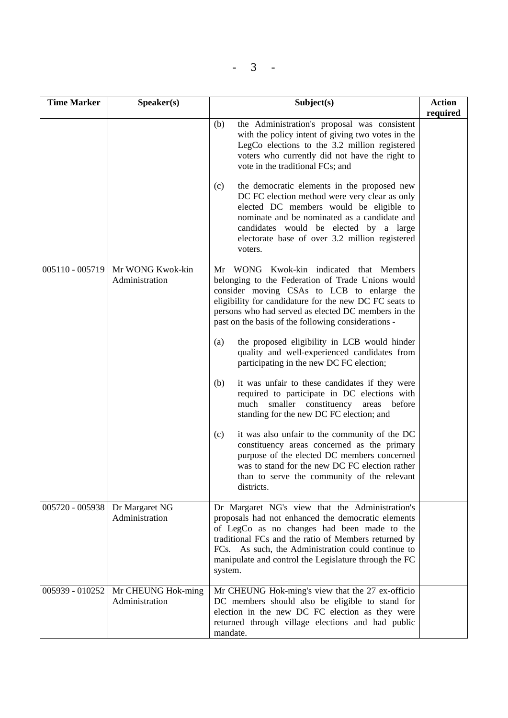$- 3 -$ 

| <b>Time Marker</b> | Speaker(s)                           | Subject(s)                                                                                                                                                                                                                                                                                                                                                                                                                                                                                                                                                                                                                                                                                                                                                                                                                                                                                                                                      | <b>Action</b><br>required |
|--------------------|--------------------------------------|-------------------------------------------------------------------------------------------------------------------------------------------------------------------------------------------------------------------------------------------------------------------------------------------------------------------------------------------------------------------------------------------------------------------------------------------------------------------------------------------------------------------------------------------------------------------------------------------------------------------------------------------------------------------------------------------------------------------------------------------------------------------------------------------------------------------------------------------------------------------------------------------------------------------------------------------------|---------------------------|
|                    |                                      | the Administration's proposal was consistent<br>(b)<br>with the policy intent of giving two votes in the<br>LegCo elections to the 3.2 million registered<br>voters who currently did not have the right to<br>vote in the traditional FCs; and<br>(c)<br>the democratic elements in the proposed new<br>DC FC election method were very clear as only<br>elected DC members would be eligible to<br>nominate and be nominated as a candidate and<br>candidates would be elected by a large<br>electorate base of over 3.2 million registered<br>voters.                                                                                                                                                                                                                                                                                                                                                                                        |                           |
| 005110 - 005719    | Mr WONG Kwok-kin<br>Administration   | Mr WONG Kwok-kin indicated that Members<br>belonging to the Federation of Trade Unions would<br>consider moving CSAs to LCB to enlarge the<br>eligibility for candidature for the new DC FC seats to<br>persons who had served as elected DC members in the<br>past on the basis of the following considerations -<br>the proposed eligibility in LCB would hinder<br>(a)<br>quality and well-experienced candidates from<br>participating in the new DC FC election;<br>it was unfair to these candidates if they were<br>(b)<br>required to participate in DC elections with<br>smaller constituency areas<br>much<br>before<br>standing for the new DC FC election; and<br>it was also unfair to the community of the DC<br>(c)<br>constituency areas concerned as the primary<br>purpose of the elected DC members concerned<br>was to stand for the new DC FC election rather<br>than to serve the community of the relevant<br>districts. |                           |
| 005720 - 005938    | Dr Margaret NG<br>Administration     | Dr Margaret NG's view that the Administration's<br>proposals had not enhanced the democratic elements<br>of LegCo as no changes had been made to the<br>traditional FCs and the ratio of Members returned by<br>FCs. As such, the Administration could continue to<br>manipulate and control the Legislature through the FC<br>system.                                                                                                                                                                                                                                                                                                                                                                                                                                                                                                                                                                                                          |                           |
| 005939 - 010252    | Mr CHEUNG Hok-ming<br>Administration | Mr CHEUNG Hok-ming's view that the 27 ex-officio<br>DC members should also be eligible to stand for<br>election in the new DC FC election as they were<br>returned through village elections and had public<br>mandate.                                                                                                                                                                                                                                                                                                                                                                                                                                                                                                                                                                                                                                                                                                                         |                           |